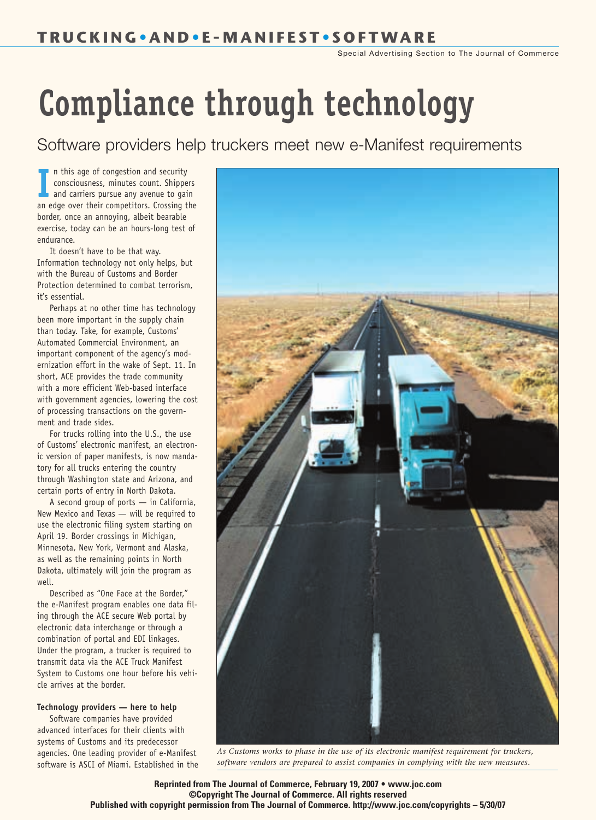Special Advertising Section to The Journal of Commerce

## *Compliance through technology*

Software providers help truckers meet new e-Manifest requirements

In this age or congestion and security<br>
consciousness, minutes count. Shippers<br>
and carriers pursue any avenue to gain<br>
an edge over their competitors. Crossing the n this age of congestion and security consciousness, minutes count. Shippers and carriers pursue any avenue to gain border, once an annoying, albeit bearable exercise, today can be an hours-long test of endurance.

It doesn't have to be that way. Information technology not only helps, but with the Bureau of Customs and Border Protection determined to combat terrorism, it's essential.

Perhaps at no other time has technology been more important in the supply chain than today. Take, for example, Customs' Automated Commercial Environment, an important component of the agency's modernization effort in the wake of Sept. 11. In short, ACE provides the trade community with a more efficient Web-based interface with government agencies, lowering the cost of processing transactions on the government and trade sides.

For trucks rolling into the U.S., the use of Customs' electronic manifest, an electronic version of paper manifests, is now mandatory for all trucks entering the country through Washington state and Arizona, and certain ports of entry in North Dakota.

A second group of ports — in California, New Mexico and Texas — will be required to use the electronic filing system starting on April 19. Border crossings in Michigan, Minnesota, New York, Vermont and Alaska, as well as the remaining points in North Dakota, ultimately will join the program as well.

Described as "One Face at the Border," the e-Manifest program enables one data filing through the ACE secure Web portal by electronic data interchange or through a combination of portal and EDI linkages. Under the program, a trucker is required to transmit data via the ACE Truck Manifest System to Customs one hour before his vehicle arrives at the border.

## *Technology providers — here to help*

Software companies have provided advanced interfaces for their clients with systems of Customs and its predecessor agencies. One leading provider of e-Manifest software is ASCI of Miami. Established in the



*As Customs works to phase in the use of its electronic manifest requirement for truckers, software vendors are prepared to assist companies in complying with the new measures.*